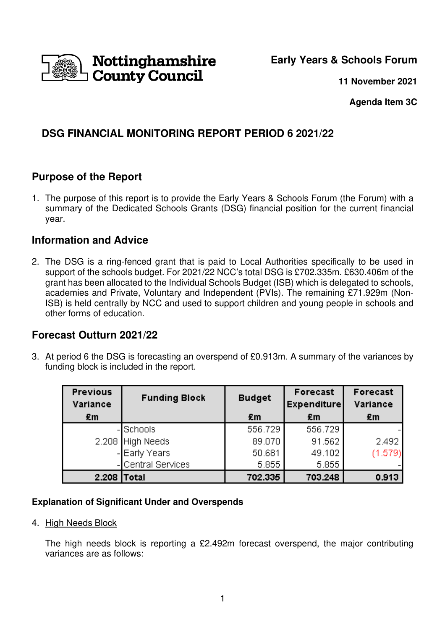

**Early Years & Schools Forum**

**11 November 2021**

**Agenda Item 3C** 

# **DSG FINANCIAL MONITORING REPORT PERIOD 6 2021/22**

## **Purpose of the Report**

1. The purpose of this report is to provide the Early Years & Schools Forum (the Forum) with a summary of the Dedicated Schools Grants (DSG) financial position for the current financial year.

## **Information and Advice**

2. The DSG is a ring-fenced grant that is paid to Local Authorities specifically to be used in support of the schools budget. For 2021/22 NCC's total DSG is £702.335m. £630.406m of the grant has been allocated to the Individual Schools Budget (ISB) which is delegated to schools, academies and Private, Voluntary and Independent (PVIs). The remaining £71.929m (Non-ISB) is held centrally by NCC and used to support children and young people in schools and other forms of education.

## **Forecast Outturn 2021/22**

3. At period 6 the DSG is forecasting an overspend of £0.913m. A summary of the variances by funding block is included in the report.

| <b>Previous</b><br>Variance | <b>Funding Block</b> | <b>Budget</b> | Forecast<br><b>Expenditure</b> | Forecast<br>Variance |
|-----------------------------|----------------------|---------------|--------------------------------|----------------------|
| £m                          |                      | £m            | £m                             | £m                   |
|                             | -ISchools            | 556.729       | 556.729                        |                      |
|                             | 2.208 High Needs     | 89.070        | 91.562                         | 2.492                |
|                             | - Early Years        | 50.681        | 49.102                         | (1.579)              |
|                             | Central Services     | 5.855         | 5.855                          |                      |
| 2.208                       | Total                | 702.335       | 703.248                        | 0.913                |

### **Explanation of Significant Under and Overspends**

4. High Needs Block

The high needs block is reporting a £2.492m forecast overspend, the major contributing variances are as follows: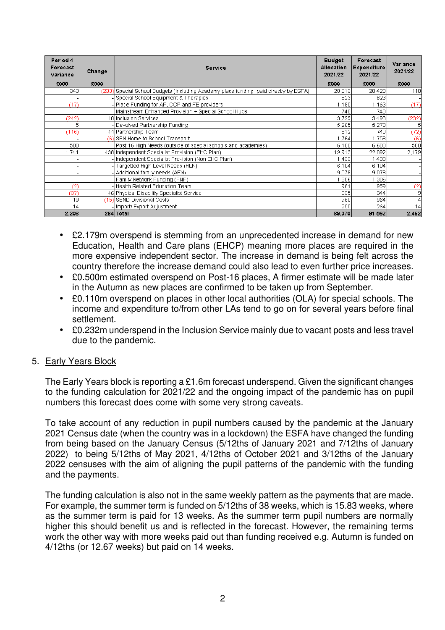| Period 4<br>Forecast<br>variance | Change | <b>Service</b>                                                                       | <b>Budget</b><br>Allocation<br>2021/22 | Forecast<br><b>Expenditure</b><br>2021/22 | Variance<br>2021/22 |
|----------------------------------|--------|--------------------------------------------------------------------------------------|----------------------------------------|-------------------------------------------|---------------------|
| £000                             | £000   |                                                                                      | £000                                   | £000                                      | £000                |
| 343                              |        | (233) Special School Budgets (Including Academy place funding paid directly by ESFA) | 28,313                                 | 28,423                                    | 110                 |
|                                  |        | -Special School Equipment & Therapies                                                | 823                                    | 823                                       |                     |
| (17)                             |        | - Place Funding for AP, CCP and FE providers                                         | 1,180                                  | 1,163                                     | (17)                |
|                                  |        | - Mainstream Enhanced Provision + Special School Hubs                                | 748                                    | 748                                       |                     |
| (242)                            |        | 10 Inclusion Services                                                                | 3,725                                  | 3,493                                     | (232)               |
| 5                                |        | Devolved Partnership Funding                                                         | 5,265                                  | 5,270                                     | 5                   |
| (116)                            |        | 44 Partnership Team                                                                  | 812                                    | 740                                       | (72)                |
|                                  |        | (6) SEN Home to School Transport                                                     | 1.764                                  | 1,758                                     | (6)                 |
| 500                              |        | - Post 16 High Needs (outside of special schools and academies)                      | 6,100                                  | 6,600                                     | 500                 |
| 1.741                            |        | 438 Independent Specialist Provision (EHC Plan)                                      | 19,913                                 | 22,092                                    | 2,179               |
|                                  |        | - Independent Specialist Provision (Non EHC Plan)                                    | 1,433                                  | 1,433                                     |                     |
|                                  |        | Targetted High Level Needs (HLN)                                                     | 6,104                                  | 6,104                                     |                     |
|                                  |        | - Additional family needs (AFN)                                                      | 9,078                                  | 9,078                                     |                     |
|                                  |        | - Family Network Funding (FNF)                                                       | ,306                                   | ,306                                      |                     |
| (2)                              |        | - Health Related Education Team                                                      | 961                                    | 959                                       | (2)                 |
| (37)                             |        | 46 Physical Disability Specialist Service                                            | 335                                    | 344                                       | -91                 |
| 19                               |        | (15) SEND Divisional Costs                                                           | 960                                    | 964                                       | 4                   |
| 14                               |        | - Import/ Export Adjustment                                                          | 250                                    | 264                                       | 14                  |
| 2,208                            |        | 284 Total                                                                            | 89,070                                 | 91,562                                    | 2,492               |

- £2.179m overspend is stemming from an unprecedented increase in demand for new Education, Health and Care plans (EHCP) meaning more places are required in the more expensive independent sector. The increase in demand is being felt across the country therefore the increase demand could also lead to even further price increases.
- £0.500m estimated overspend on Post-16 places, A firmer estimate will be made later in the Autumn as new places are confirmed to be taken up from September.
- £0.110m overspend on places in other local authorities (OLA) for special schools. The income and expenditure to/from other LAs tend to go on for several years before final settlement.
- £0.232m underspend in the Inclusion Service mainly due to vacant posts and less travel due to the pandemic.

#### 5. Early Years Block

The Early Years block is reporting a £1.6m forecast underspend. Given the significant changes to the funding calculation for 2021/22 and the ongoing impact of the pandemic has on pupil numbers this forecast does come with some very strong caveats.

To take account of any reduction in pupil numbers caused by the pandemic at the January 2021 Census date (when the country was in a lockdown) the ESFA have changed the funding from being based on the January Census (5/12ths of January 2021 and 7/12ths of January 2022) to being 5/12ths of May 2021, 4/12ths of October 2021 and 3/12ths of the January 2022 censuses with the aim of aligning the pupil patterns of the pandemic with the funding and the payments.

The funding calculation is also not in the same weekly pattern as the payments that are made. For example, the summer term is funded on 5/12ths of 38 weeks, which is 15.83 weeks, where as the summer term is paid for 13 weeks. As the summer term pupil numbers are normally higher this should benefit us and is reflected in the forecast. However, the remaining terms work the other way with more weeks paid out than funding received e.g. Autumn is funded on 4/12ths (or 12.67 weeks) but paid on 14 weeks.